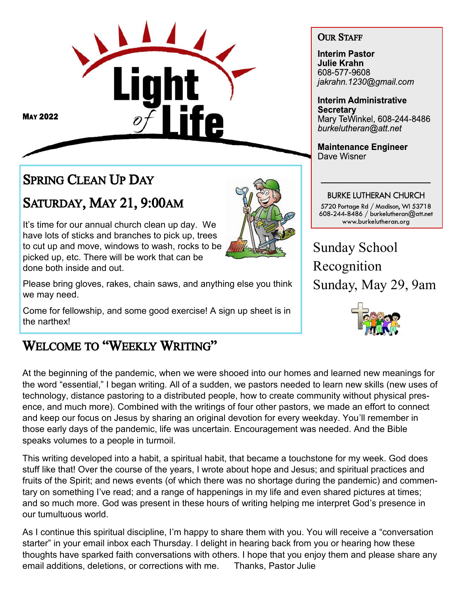

**MAY 2022** 

# SPRING CLEAN UP DAY

# SATURDAY, MAY 21, 9:00AM

It's time for our annual church clean up day. We have lots of sticks and branches to pick up, trees to cut up and move, windows to wash, rocks to be picked up, etc. There will be work that can be done both inside and out.

Please bring gloves, rakes, chain saws, and anything else you think we may need.

Come for fellowship, and some good exercise! A sign up sheet is in the narthex!

# WELCOME TO "WEEKLY WRITING"

At the beginning of the pandemic, when we were shooed into our homes and learned new meanings for the word "essential," I began writing. All of a sudden, we pastors needed to learn new skills (new uses of technology, distance pastoring to a distributed people, how to create community without physical presence, and much more). Combined with the writings of four other pastors, we made an effort to connect and keep our focus on Jesus by sharing an original devotion for every weekday. You'll remember in those early days of the pandemic, life was uncertain. Encouragement was needed. And the Bible speaks volumes to a people in turmoil.

This writing developed into a habit, a spiritual habit, that became a touchstone for my week. God does stuff like that! Over the course of the years, I wrote about hope and Jesus; and spiritual practices and fruits of the Spirit; and news events (of which there was no shortage during the pandemic) and commentary on something I've read; and a range of happenings in my life and even shared pictures at times; and so much more. God was present in these hours of writing helping me interpret God's presence in our tumultuous world.

As I continue this spiritual discipline, I'm happy to share them with you. You will receive a "conversation starter" in your email inbox each Thursday. I delight in hearing back from you or hearing how these thoughts have sparked faith conversations with others. I hope that you enjoy them and please share any email additions, deletions, or corrections with me. Thanks, Pastor Julie

#### OUR STAFF

**Interim Pastor Julie Krahn** 608-577-9608 jakrahn.1230@gmail.com

**Interim Administrative Secretary** Mary TeWinkel, 608-244-8486 burkelutheran@att.net

**Maintenance Engineer** Dave Wisner

## **BURKE LUTHERAN CHURCH**

5720 Portage Rd / Madison, WI 53718<br>608-244-8486 / burkelutheran@att.net www.burkelutheran.org

Sunday School Recognition Sunday, May 29, 9am

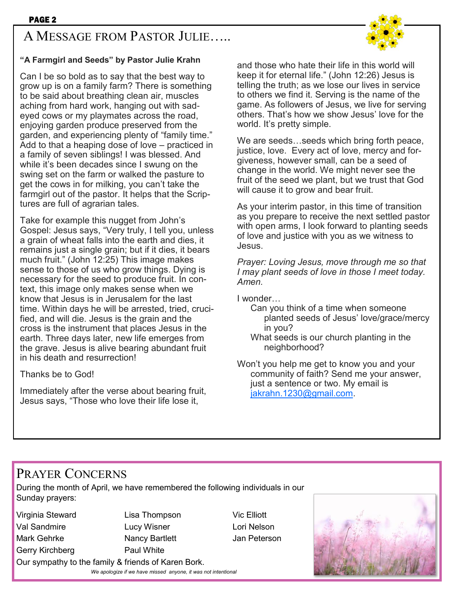## A MESSAGE FROM PASTOR JULIE…..



Can I be so bold as to say that the best way to grow up is on a family farm? There is something to be said about breathing clean air, muscles aching from hard work, hanging out with sadeyed cows or my playmates across the road, enjoying garden produce preserved from the garden, and experiencing plenty of "family time." Add to that a heaping dose of love – practiced in a family of seven siblings! I was blessed. And while it's been decades since I swung on the swing set on the farm or walked the pasture to get the cows in for milking, you can't take the farmgirl out of the pastor. It helps that the Scriptures are full of agrarian tales.

Take for example this nugget from John's Gospel: Jesus says, "Very truly, I tell you, unless a grain of wheat falls into the earth and dies, it remains just a single grain; but if it dies, it bears much fruit." (John 12:25) This image makes sense to those of us who grow things. Dying is necessary for the seed to produce fruit. In context, this image only makes sense when we know that Jesus is in Jerusalem for the last time. Within days he will be arrested, tried, crucified, and will die. Jesus is the grain and the cross is the instrument that places Jesus in the earth. Three days later, new life emerges from the grave. Jesus is alive bearing abundant fruit in his death and resurrection!

Thanks be to God!

Immediately after the verse about bearing fruit, Jesus says, "Those who love their life lose it,

and those who hate their life in this world will keep it for eternal life." (John 12:26) Jesus is telling the truth; as we lose our lives in service to others we find it. Serving is the name of the game. As followers of Jesus, we live for serving others. That's how we show Jesus' love for the world. It's pretty simple.

We are seeds…seeds which bring forth peace, justice, love. Every act of love, mercy and forgiveness, however small, can be a seed of change in the world. We might never see the fruit of the seed we plant, but we trust that God will cause it to grow and bear fruit.

As your interim pastor, in this time of transition as you prepare to receive the next settled pastor with open arms, I look forward to planting seeds of love and justice with you as we witness to Jesus.

*Prayer: Loving Jesus, move through me so that I may plant seeds of love in those I meet today. Amen.* 

I wonder…

- Can you think of a time when someone planted seeds of Jesus' love/grace/mercy in you?
- What seeds is our church planting in the neighborhood?

Won't you help me get to know you and your community of faith? Send me your answer, just a sentence or two. My email is [jakrahn.1230@gmail.com.](mailto:jakrahn.1230@gmail.com)

## PRAYER CONCERNS

During the month of April, we have remembered the following individuals in our Sunday prayers:

Gerry Kirchberg **Paul White** 

Virginia Steward Lisa Thompson Vic Elliott Val Sandmire Lucy Wisner Lori Nelson Mark Gehrke **Nancy Bartlett** Jan Peterson Our sympathy to the family & friends of Karen Bork. *We apologize if we have missed anyone, it was not intentional*

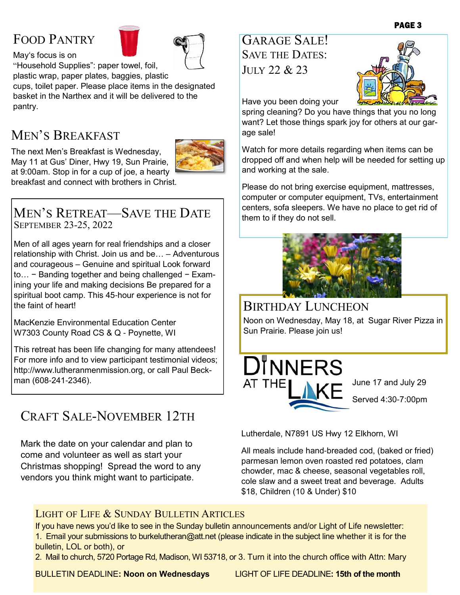## FOOD PANTRY

May's focus is on



"Household Supplies": paper towel, foil,

plastic wrap, paper plates, baggies, plastic cups, toilet paper. Please place items in the designated basket in the Narthex and it will be delivered to the pantry.

## MEN'S BREAKFAST

The next Men's Breakfast is Wednesday, May 11 at Gus' Diner, Hwy 19, Sun Prairie, at 9:00am. Stop in for a cup of joe, a hearty breakfast and connect with brothers in Christ.



MEN'S RETREAT—SAVE THE DATE SEPTEMBER 23-25, 2022

Men of all ages yearn for real friendships and a closer relationship with Christ. Join us and be… – Adventurous and courageous – Genuine and spiritual Look forward to… − Banding together and being challenged − Examining your life and making decisions Be prepared for a spiritual boot camp. This 45-hour experience is not for the faint of heart!

MacKenzie Environmental Education Center W7303 County Road CS & Q - Poynette, WI

This retreat has been life changing for many attendees! For more info and to view participant testimonial videos; http://www.lutheranmenmission.org, or call Paul Beckman (608-241-2346).

## CRAFT SALE-NOVEMBER 12TH

Mark the date on your calendar and plan to come and volunteer as well as start your Christmas shopping! Spread the word to any vendors you think might want to participate.

GARAGE SALE! SAVE THE DATES: JULY 22 & 23



Have you been doing your

spring cleaning? Do you have things that you no long want? Let those things spark joy for others at our garage sale!

Watch for more details regarding when items can be dropped off and when help will be needed for setting up and working at the sale.

Please do not bring exercise equipment, mattresses, computer or computer equipment, TVs, entertainment centers, sofa sleepers. We have no place to get rid of them to if they do not sell.



## BIRTHDAY LUNCHEON

Noon on Wednesday, May 18, at Sugar River Pizza in Sun Prairie. Please join us!



June 17 and July 29 Served 4:30-7:00pm

Lutherdale, N7891 US Hwy 12 Elkhorn, WI

All meals include hand-breaded cod, (baked or fried) parmesan lemon oven roasted red potatoes, clam chowder, mac & cheese, seasonal vegetables roll, cole slaw and a sweet treat and beverage. Adults \$18, Children (10 & Under) \$10

#### LIGHT OF LIFE & SUNDAY BULLETIN ARTICLES

If you have news you'd like to see in the Sunday bulletin announcements and/or Light of Life newsletter: 1. Email your submissions to [burkelutheran@att.net](mailto:burkelutheran@tds.net) (please indicate in the subject line whether it is for the bulletin, LOL or both), or

2. Mail to church, 5720 Portage Rd, Madison, WI 53718, or 3. Turn it into the church office with Attn: Mary

BULLETIN DEADLINE**: Noon on Wednesdays** LIGHT OF LIFE DEADLINE**: 15th of the month**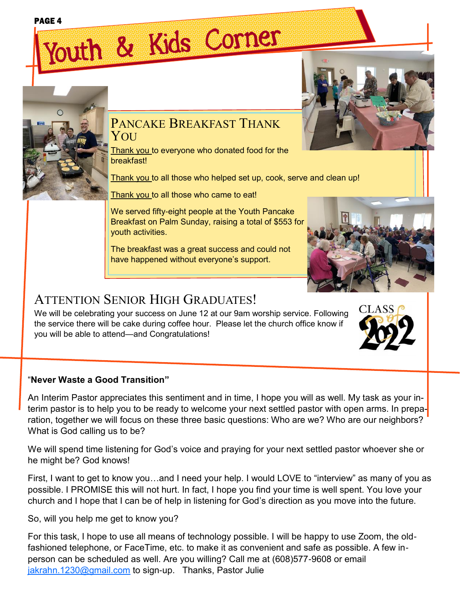#### PAGE 4

# Youth & Kids Corner



### PANCAKE BREAKFAST THANK YOU

Thank you to everyone who donated food for the breakfast!

Thank you to all those who helped set up, cook, serve and clean up!

Thank you to all those who came to eat!

We served fifty-eight people at the Youth Pancake Breakfast on Palm Sunday, raising a total of \$553 for youth activities.

The breakfast was a great success and could not have happened without everyone's support.



## ATTENTION SENIOR HIGH GRADUATES!

We will be celebrating your success on June 12 at our 9am worship service. Following the service there will be cake during coffee hour. Please let the church office know if you will be able to attend—and Congratulations!

#### "**Never Waste a Good Transition"**

An Interim Pastor appreciates this sentiment and in time, I hope you will as well. My task as your interim pastor is to help you to be ready to welcome your next settled pastor with open arms. In preparation, together we will focus on these three basic questions: Who are we? Who are our neighbors? What is God calling us to be?

We will spend time listening for God's voice and praying for your next settled pastor whoever she or he might be? God knows!

First, I want to get to know you…and I need your help. I would LOVE to "interview" as many of you as possible. I PROMISE this will not hurt. In fact, I hope you find your time is well spent. You love your church and I hope that I can be of help in listening for God's direction as you move into the future.

So, will you help me get to know you?

For this task, I hope to use all means of technology possible. I will be happy to use Zoom, the oldfashioned telephone, or FaceTime, etc. to make it as convenient and safe as possible. A few inperson can be scheduled as well. Are you willing? Call me at (608)577-9608 or email [jakrahn.1230@gmail.com](mailto:jakrahn.1230@gmail.com) to sign-up. Thanks, Pastor Julie



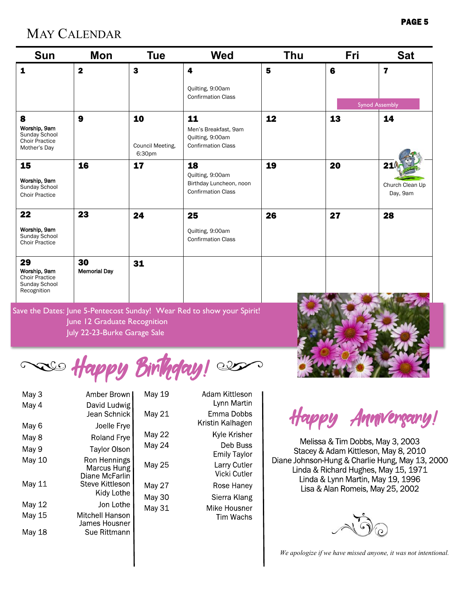## MAY CALENDAR

 $29$ 

Choir Practice

| <b>Sun</b>                                                                  | <b>Mon</b>              | <b>Tue</b>                       | <b>Wed</b>                                                                     | <b>Thu</b> | Fri | <b>Sat</b>                         |
|-----------------------------------------------------------------------------|-------------------------|----------------------------------|--------------------------------------------------------------------------------|------------|-----|------------------------------------|
| 1                                                                           | $\overline{\mathbf{2}}$ | $\mathbf{3}$                     | 4                                                                              | 5          | 6   | $\overline{\mathbf{z}}$            |
|                                                                             |                         |                                  | Quilting, 9:00am                                                               |            |     |                                    |
|                                                                             |                         |                                  | <b>Confirmation Class</b>                                                      |            |     | <b>Synod Assembly</b>              |
| 8<br>Worship, 9am<br>Sunday School<br><b>Choir Practice</b><br>Mother's Day | 9                       | 10<br>Council Meeting,<br>6:30pm | 11<br>Men's Breakfast, 9am<br>Quilting, 9:00am<br><b>Confirmation Class</b>    | 12         | 13  | 14                                 |
| 15<br>Worship, 9am<br>Sunday School<br><b>Choir Practice</b>                | 16                      | 17                               | 18<br>Quilting, 9:00am<br>Birthday Luncheon, noon<br><b>Confirmation Class</b> | 19         | 20  | 21(<br>Church Clean Up<br>Day, 9am |
| 22                                                                          | 23                      | 24                               | 25                                                                             | 26         | 27  | 28                                 |
| Worship, 9am<br>Sunday School                                               |                         |                                  | Quilting, 9:00am<br>Confirmation Class                                         |            |     |                                    |

| Worship, 9am<br><b>Choir Practice</b><br>Sunday School<br>Recognition | <b>Memorial Day</b>                                          |                                                                        |  |
|-----------------------------------------------------------------------|--------------------------------------------------------------|------------------------------------------------------------------------|--|
|                                                                       | June 12 Graduate Recognition<br>July 22-23-Burke Garage Sale | Save the Dates: June 5-Pentecost Sunday! Wear Red to show your Spirit! |  |

31

so Happy Birthday!

| May 3  | Amber Brown I                                 | May |
|--------|-----------------------------------------------|-----|
| May 4  | David Ludwig<br>Jean Schnick                  | May |
| May 6  | Joelle Frye                                   |     |
| May 8  | Roland Frye                                   | May |
| May 9  | <b>Taylor Olson</b>                           | May |
| May 10 | Ron Hennings<br>Marcus Hung<br>Diane McFarlin | May |
| May 11 | Steve Kittleson                               | May |
|        | Kidy Lothe                                    | May |
| May 12 | Jon Lothe                                     | May |
| May 15 | Mitchell Hanson<br>James Housner              |     |
| May 18 | Sue Rittmann                                  |     |

30

| 19 | Adam Kittleson<br>Lynn Martin   |
|----|---------------------------------|
| 21 | Fmma Dobbs<br>Kristin Kalhagen  |
| 22 | Kyle Krisher                    |
| 24 | Deb Buss<br><b>Emily Taylor</b> |
| 25 | Larry Cutler<br>Vicki Cutler    |
| 27 | Rose Haney                      |
| 30 | Sierra Klang                    |
| 31 | Mike Housner<br>Tim Wachs       |

Confirmation Class

Happy Amnvergany!

Melissa & Tim Dobbs, May 3, 2003 Stacey & Adam Kittleson, May 8, 2010 Diane Johnson-Hung & Charlie Hung, May 13, 2000 Linda & Richard Hughes, May 15, 1971 Linda & Lynn Martin, May 19, 1996 Lisa & Alan Romeis, May 25, 2002



*We apologize if we have missed anyone, it was not intentional.*